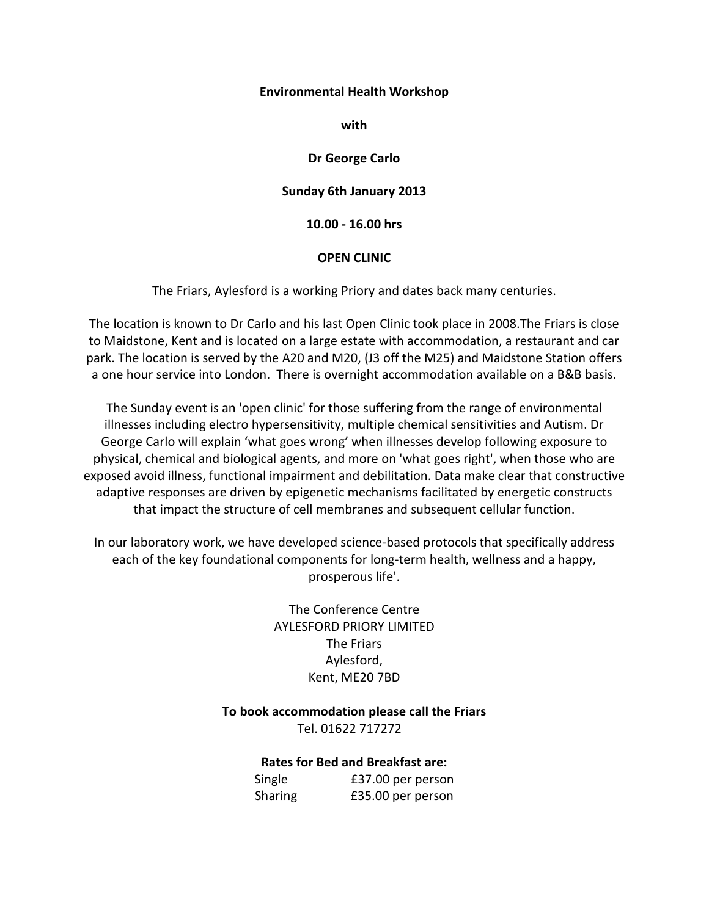## **Environmental Health Workshop**

**with**

## **Dr George Carlo**

## **Sunday 6th January 2013**

**10.00 - 16.00 hrs**

## **OPEN CLINIC**

The Friars, Aylesford is a working Priory and dates back many centuries.

The location is known to Dr Carlo and his last Open Clinic took place in 2008.The Friars is close to Maidstone, Kent and is located on a large estate with accommodation, a restaurant and car park. The location is served by the A20 and M20, (J3 off the M25) and Maidstone Station offers a one hour service into London. There is overnight accommodation available on a B&B basis.

The Sunday event is an 'open clinic' for those suffering from the range of environmental illnesses including electro hypersensitivity, multiple chemical sensitivities and Autism. Dr George Carlo will explain 'what goes wrong' when illnesses develop following exposure to physical, chemical and biological agents, and more on 'what goes right', when those who are exposed avoid illness, functional impairment and debilitation. Data make clear that constructive adaptive responses are driven by epigenetic mechanisms facilitated by energetic constructs that impact the structure of cell membranes and subsequent cellular function.

In our laboratory work, we have developed science-based protocols that specifically address each of the key foundational components for long-term health, wellness and a happy, prosperous life'.

> The Conference Centre AYLESFORD PRIORY LIMITED The Friars Aylesford, Kent, ME20 7BD

**To book accommodation please call the Friars**  Tel. 01622 717272

**Rates for Bed and Breakfast are:** 

Single £37.00 per person Sharing £35.00 per person